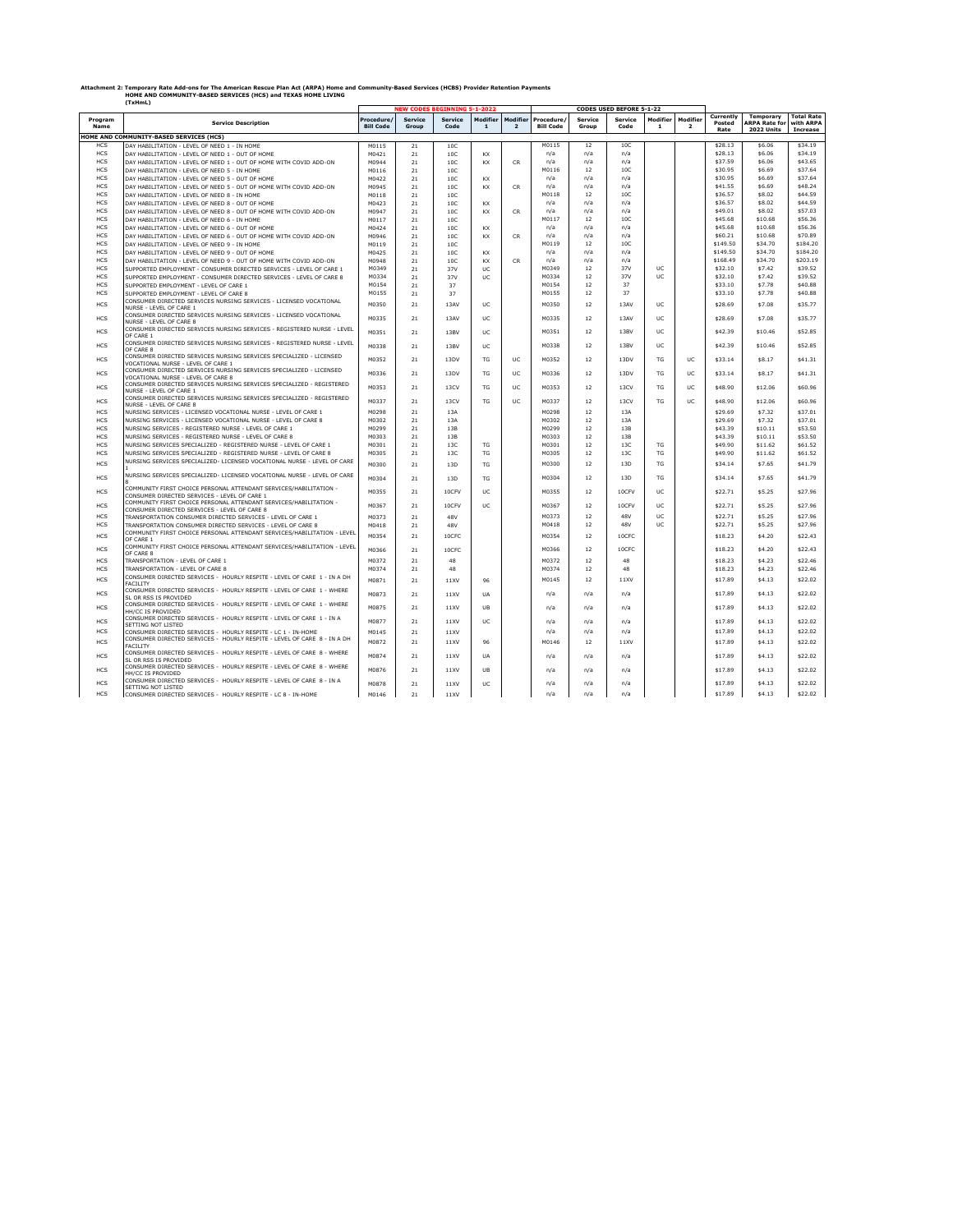## Attachment 2: Temporary Rate Add-ons for The American Rescue Plan Act (ARPA) Home and Community-Based Services (HCBS) Provider Retention Payments<br>How Example of Development Community-Based Services (HCS) and TEXAS HOME LI

| Program<br><b>Name</b><br><b>HCS</b><br>DAY HABILITATION - LEVEL OF NEED 1 - IN HOME | <b>Service Description</b>                                                                                                                   | Procedure/<br><b>Bill Code</b>          | Service<br>Group | Service | Modifier      | Modifier       | Procedure/       | Service | Service          | Modifier                  | Modifier       | Currently      | Temporary                                 | <b>Total Rate</b>            |
|--------------------------------------------------------------------------------------|----------------------------------------------------------------------------------------------------------------------------------------------|-----------------------------------------|------------------|---------|---------------|----------------|------------------|---------|------------------|---------------------------|----------------|----------------|-------------------------------------------|------------------------------|
|                                                                                      |                                                                                                                                              |                                         |                  | Code    | $\mathbf{1}$  | $\overline{2}$ | <b>Bill Code</b> | Group   | Code             | $\mathbf{1}$              | $\overline{2}$ | Posted<br>Rate | <b>ARPA Rate for</b><br><b>2022 Units</b> | with ARPA<br><b>Increase</b> |
|                                                                                      |                                                                                                                                              | HOME AND COMMUNITY-BASED SERVICES (HCS) |                  |         |               |                |                  |         |                  |                           |                |                |                                           |                              |
|                                                                                      |                                                                                                                                              | M0115                                   | 21               | 10C     |               |                | M0115            | 12      | 10C              |                           |                | \$28.13        | \$6.06                                    | \$34.19                      |
| <b>HCS</b><br>DAY HABILITATION - LEVEL OF NEED 1 - OUT OF HOME                       |                                                                                                                                              | M0421                                   | 21               | 10C     | KX            |                | n/a              | n/a     | n/a              |                           |                | \$28.13        | \$6.06                                    | \$34.19                      |
| <b>HCS</b>                                                                           | DAY HABILITATION - LEVEL OF NEED 1 - OUT OF HOME WITH COVID ADD-ON                                                                           | M0944                                   | 21               | 10C     | KX            | CR             | n/a              | n/a     | n/a              |                           |                | \$37.59        | \$6.06                                    | \$43.65                      |
| HCS<br>DAY HABILITATION - LEVEL OF NEED 5 - IN HOME                                  |                                                                                                                                              | M0116                                   | 21               | 10C     |               |                | M0116            | 12      | 10C              |                           |                | \$30.95        | \$6.69                                    | \$37.64                      |
| HCS<br>DAY HABILITATION - LEVEL OF NEED 5 - OUT OF HOME                              |                                                                                                                                              | M0422                                   | 21               | 10C     | KX            |                | n/a              | n/a     | n/a              |                           |                | \$30.95        | \$6.69                                    | \$37.64                      |
| <b>HCS</b>                                                                           | DAY HABILITATION - LEVEL OF NEED 5 - OUT OF HOME WITH COVID ADD-ON                                                                           | M0945<br>M0118                          | 21               | 10C     | KX            | <b>CR</b>      | n/a              | n/a     | n/a              |                           |                | \$41.55        | \$6.69                                    | \$48.24                      |
| <b>HCS</b>                                                                           | DAY HABILITATION - LEVEL OF NEED 8 - IN HOME                                                                                                 |                                         | 21               | 10C     |               |                | M0118            | 12      | 10C              |                           |                | \$36.57        | \$8.02                                    | \$44.59                      |
| HCS                                                                                  | DAY HABILITATION - LEVEL OF NEED 8 - OUT OF HOME                                                                                             |                                         | 21               | 10C     | КX            |                | n/a              | n/a     | n/a              |                           |                | \$36.57        | \$8.02                                    | \$44.59                      |
| HCS                                                                                  | DAY HABILITATION - LEVEL OF NEED 8 - OUT OF HOME WITH COVID ADD-ON                                                                           |                                         | 21               | 10C     | KX            | CR             | n/a              | n/a     | n/a              |                           |                | \$49.01        | \$8.02                                    | \$57.03                      |
| HCS                                                                                  | DAY HABILITATION - LEVEL OF NEED 6 - IN HOME                                                                                                 |                                         | 21               | 10C     |               |                | M0117            | 12      | 10C              |                           |                | \$45.68        | \$10.68                                   | \$56.36                      |
| <b>HCS</b>                                                                           | DAY HABILITATION - LEVEL OF NEED 6 - OUT OF HOME                                                                                             |                                         | 21               | 10C     | KX            |                | n/a              | n/a     | n/a              |                           |                | \$45.68        | \$10.68                                   | \$56.36                      |
| <b>HCS</b>                                                                           | DAY HABILITATION - LEVEL OF NEED 6 - OUT OF HOME WITH COVID ADD-ON                                                                           |                                         | 21               | 10C     | KX            | <b>CR</b>      | n/a              | n/a     | n/a              |                           |                | \$60.21        | \$10.68                                   | \$70.89                      |
| HCS                                                                                  | DAY HABILITATION - LEVEL OF NEED 9 - IN HOME                                                                                                 |                                         | 21               | 10C     |               |                | M0119            | 12      | 10C              |                           |                | \$149.50       | \$34.70                                   | \$184.20                     |
| <b>HCS</b>                                                                           | DAY HABILITATION - LEVEL OF NEED 9 - OUT OF HOME                                                                                             |                                         | 21               | 10C     | KX            |                | n/a              | n/a     | n/a              |                           |                | \$149.50       | \$34.70                                   | \$184.20                     |
| <b>HCS</b>                                                                           | DAY HABILITATION - LEVEL OF NEED 9 - OUT OF HOME WITH COVID ADD-ON                                                                           |                                         | 21               | 10C     | KX            | CR             | n/a              | n/a     | n/a              |                           |                | \$168.49       | \$34.70                                   | \$203.19                     |
| <b>HCS</b>                                                                           | SUPPORTED EMPLOYMENT - CONSUMER DIRECTED SERVICES - LEVEL OF CARE 1                                                                          |                                         | 21               | 37V     | UC            |                | M0349            | 12      | 37V              | <b>UC</b>                 |                | \$32.10        | \$7.42                                    | \$39.52                      |
| <b>HCS</b>                                                                           | SUPPORTED EMPLOYMENT - CONSUMER DIRECTED SERVICES - LEVEL OF CARE 8                                                                          |                                         | 21               | 37V     | UC            |                | M0334            | 12      | 37V              | UC                        |                | \$32.10        | \$7.42                                    | \$39.52                      |
| <b>HCS</b>                                                                           | SUPPORTED EMPLOYMENT - LEVEL OF CARE 1                                                                                                       |                                         | 21               | 37      |               |                | M0154            | 12      | 37               |                           |                | \$33.10        | \$7.78                                    | \$40.88                      |
| HCS                                                                                  | SUPPORTED EMPLOYMENT - LEVEL OF CARE 8                                                                                                       |                                         | 21               | 37      |               |                | M0155            | 12      | 37               |                           |                | \$33.10        | \$7.78                                    | \$40.88                      |
| <b>HCS</b><br>NURSE - LEVEL OF CARE 1                                                | CONSUMER DIRECTED SERVICES NURSING SERVICES - LICENSED VOCATIONAL                                                                            | M0350                                   | 21               | 13AV    | UC            |                | M0350            | $12\,$  | 13AV             | UC                        |                | \$28.69        | \$7.08                                    | \$35.77                      |
| HCS<br>NURSE - LEVEL OF CARE 8                                                       | CONSUMER DIRECTED SERVICES NURSING SERVICES - LICENSED VOCATIONAL                                                                            | M0335                                   | 21               | 13AV    | UC            |                | M0335            | 12      | 13AV             | UC                        |                | \$28.69        | \$7.08                                    | \$35.77                      |
| HCS<br>OF CARE 1                                                                     | CONSUMER DIRECTED SERVICES NURSING SERVICES - REGISTERED NURSE - LEVEL                                                                       | M0351                                   | 21               | 13BV    | UC            |                | M0351            | 12      | 13BV             | UC                        |                | \$42.39        | \$10.46                                   | \$52.85                      |
| <b>HCS</b><br>OF CARE 8                                                              | CONSUMER DIRECTED SERVICES NURSING SERVICES - REGISTERED NURSE - LEVEL                                                                       | M0338                                   | 21               | 13BV    | UC            |                | M0338            | 12      | 13BV             | <b>UC</b>                 |                | \$42.39        | \$10.46                                   | \$52.85                      |
| HCS<br>VOCATIONAL NURSE - LEVEL OF CARE 1                                            | CONSUMER DIRECTED SERVICES NURSING SERVICES SPECIALIZED - LICENSED                                                                           | M0352                                   | 21               | 13DV    | TG            | UC             | M0352            | $12\,$  | 13DV             | TG                        | UC             | \$33.14        | \$8.17                                    | \$41.31                      |
| <b>HCS</b><br>VOCATIONAL NURSE - LEVEL OF CARE 8                                     | CONSUMER DIRECTED SERVICES NURSING SERVICES SPECIALIZED - LICENSED                                                                           | M0336                                   | 21               | 13DV    | TG            | UC             | M0336            | $12\,$  | 13DV             | TG                        | UC             | \$33.14        | \$8.17                                    | \$41.31                      |
| <b>HCS</b><br>NURSE - LEVEL OF CARE 1                                                | CONSUMER DIRECTED SERVICES NURSING SERVICES SPECIALIZED - REGISTERED                                                                         | M0353                                   | 21               | 13CV    | TG            | UC             | M0353            | 12      | 13CV             | TG                        | UC             | \$48.90        | \$12.06                                   | \$60.96                      |
| <b>HCS</b><br>NURSE - LEVEL OF CARE 8                                                | CONSUMER DIRECTED SERVICES NURSING SERVICES SPECIALIZED - REGISTERED                                                                         | M0337                                   | 21               | 13CV    | TG            | UC             | M0337            | 12      | 13C <sub>V</sub> | <b>TG</b>                 | <b>UC</b>      | \$48.90        | \$12.06                                   | \$60.96                      |
| <b>HCS</b>                                                                           | NURSING SERVICES - LICENSED VOCATIONAL NURSE - LEVEL OF CARE 1                                                                               | M0298                                   | 21               | 13A     |               |                | M0298            | 12      | 13A              |                           |                | \$29.69        | \$7.32                                    | \$37.01                      |
| <b>HCS</b>                                                                           | NURSING SERVICES - LICENSED VOCATIONAL NURSE - LEVEL OF CARE 8                                                                               | M0302                                   | 21               | 13A     |               |                | M0302            | 12      | 13A              |                           |                | \$29.69        | \$7.32                                    | \$37.01                      |
| <b>HCS</b><br>NURSING SERVICES - REGISTERED NURSE - LEVEL OF CARE 1                  |                                                                                                                                              | M0299                                   | 21               | 13B     |               |                | M0299            | 12      | 13B              |                           |                | \$43.39        | \$10.11                                   | \$53.50                      |
| <b>HCS</b><br>NURSING SERVICES - REGISTERED NURSE - LEVEL OF CARE 8                  |                                                                                                                                              | M0303<br>M0301                          | 21               | 13B     |               |                | M0303            | 12      | 13B              |                           |                | \$43.39        | \$10.11                                   | \$53.50                      |
| <b>HCS</b>                                                                           | NURSING SERVICES SPECIALIZED - REGISTERED NURSE - LEVEL OF CARE 1                                                                            |                                         | 21               | 13C     | TG            |                | M0301            | 12      | 13C              | TG                        |                | \$49.90        | \$11.62                                   | \$61.52                      |
| <b>HCS</b>                                                                           | NURSING SERVICES SPECIALIZED - REGISTERED NURSE - LEVEL OF CARE 8                                                                            |                                         | 21               | 13C     | TG            |                | M0305            | 12      | 13C              | TG                        |                | \$49.90        | \$11.62                                   | \$61.52                      |
| HCS                                                                                  | NURSING SERVICES SPECIALIZED- LICENSED VOCATIONAL NURSE - LEVEL OF CARE                                                                      | M0300                                   | 21               | 13D     | <b>TG</b>     |                | M0300            | 12      | 13D              | TG                        |                | \$34.14        | \$7.65                                    | \$41.79                      |
| <b>HCS</b>                                                                           | NURSING SERVICES SPECIALIZED- LICENSED VOCATIONAL NURSE - LEVEL OF CARE<br>COMMUNITY FIRST CHOICE PERSONAL ATTENDANT SERVICES/HABILITATION - | M0304                                   | 21               | 13D     | TG            |                | M0304            | 12      | 130              | TG                        |                | \$34.14        | \$7.65                                    | \$41.79                      |
| <b>HCS</b><br>CONSUMER DIRECTED SERVICES - LEVEL OF CARE 1                           | COMMUNITY FIRST CHOICE PERSONAL ATTENDANT SERVICES/HABILITATION -                                                                            | M0355                                   | 21               | 10CFV   | $\mathsf{HC}$ |                | M0355            | 12      | 10CEV            | $\mathsf{H}^{\mathsf{C}}$ |                | \$22.71        | \$5.25                                    | \$27.96                      |
| <b>HCS</b><br>CONSUMER DIRECTED SERVICES - LEVEL OF CARE 8                           |                                                                                                                                              | M0367                                   | 21               | 10CFV   | $\mathsf{HC}$ |                | M0367            | 12      | 10CEV            | $\mathsf{H}^{\mathsf{C}}$ |                | \$22.71        | \$5.25                                    | \$27.96                      |
| <b>HCS</b>                                                                           | TRANSPORTATION CONSUMER DIRECTED SERVICES - LEVEL OF CARE 1                                                                                  | M0373                                   | 21               | 48V     |               |                | M0373            | 12      | 48V              | UC                        |                | \$22.71        | \$5.25                                    | \$27.96                      |
| <b>HCS</b>                                                                           | TRANSPORTATION CONSUMER DIRECTED SERVICES - LEVEL OF CARE 8                                                                                  | M0418                                   | 21               | 48V     |               |                | M0418            | 12      | 48V              | UC                        |                | \$22.71        | \$5.25                                    | \$27.96                      |
| HCS<br>OF CARE 1                                                                     | COMMUNITY FIRST CHOICE PERSONAL ATTENDANT SERVICES/HABILITATION - LEVEL                                                                      | M0354                                   | 21               | 10CFC   |               |                | M0354            | 12      | 10CFC            |                           |                | \$18.23        | \$4.20                                    | \$22.43                      |
| <b>HCS</b><br>OF CARE 8                                                              | COMMUNITY FIRST CHOICE PERSONAL ATTENDANT SERVICES/HABILITATION - LEVEL                                                                      | M0366                                   | 21               | 10CFC   |               |                | M0366            | 12      | 10CFC            |                           |                | \$18.23        | \$4.20                                    | \$22.43                      |
| <b>HCS</b><br>TRANSPORTATION - LEVEL OF CARE 1                                       |                                                                                                                                              | M0372                                   | 21               | 48      |               |                | M0372            | 12      | 48               |                           |                | \$18.23        | \$4.23                                    | \$22.46                      |
| <b>HCS</b><br>TRANSPORTATION - LEVEL OF CARE 8                                       |                                                                                                                                              | M0374                                   | 21               | 48      |               |                | M0374            | 12      | 48               |                           |                | \$18.23        | \$4.23                                    | \$22.46                      |
| HCS<br><b>FACTLITY</b>                                                               | CONSUMER DIRECTED SERVICES - HOURLY RESPITE - LEVEL OF CARE 1 - IN A DH                                                                      | M0871                                   | 21               | 11XV    | 96            |                | M0145            | 12      | 11XV             |                           |                | \$17.89        | \$4.13                                    | \$22.02                      |
| HCS<br>SL OR RSS IS PROVIDED                                                         | CONSUMER DIRECTED SERVICES - HOURLY RESPITE - LEVEL OF CARE 1 - WHERE                                                                        | <b>M0873</b>                            | 21               | 11XV    | <b>IIA</b>    |                | n/a              | n/a     | n/a              |                           |                | \$17.89        | \$4.13                                    | \$22.02                      |
| HCS<br>HH/CC IS PROVIDED                                                             | CONSUMER DIRECTED SERVICES - HOURLY RESPITE - LEVEL OF CARE 1 - WHERE                                                                        | M0875                                   | 21               | 11XV    | UB            |                | n/a              | n/a     | n/a              |                           |                | \$17.89        | \$4.13                                    | \$22.02                      |
| <b>HCS</b><br>SETTING NOT LISTED                                                     | CONSUMER DIRECTED SERVICES - HOURLY RESPITE - LEVEL OF CARE 1 - IN A                                                                         | M0877                                   | 21               | 11XV    | UC            |                | n/a              | n/a     | n/a              |                           |                | \$17.89        | \$4.13                                    | \$22.02                      |
| HCS                                                                                  | CONSUMER DIRECTED SERVICES - HOURLY RESPITE - LC 1 - IN-HOME                                                                                 | M0145                                   | 21               | 11XV    |               |                | n/a              | n/a     | n/a              |                           |                | \$17.89        | \$4.13                                    | \$22.02                      |
| <b>HCS</b><br><b>FACTLITY</b>                                                        | CONSUMER DIRECTED SERVICES - HOURLY RESPITE - LEVEL OF CARE 8 - IN A DH                                                                      |                                         | 21               | 11XV    | 96            |                | M0146            | 12      | 11XV             |                           |                | \$17.89        | \$4.13                                    | \$22.02                      |
| <b>HCS</b><br>SL OR RSS IS PROVIDED                                                  | CONSUMER DIRECTED SERVICES - HOURLY RESPITE - LEVEL OF CARE 8 - WHERE                                                                        | M0874                                   | 21               | 11XV    | <b>IIA</b>    |                | n/a              | n/a     | n/a              |                           |                | \$17.89        | \$4.13                                    | \$22.02                      |
| <b>HCS</b><br>HH/CC IS PROVIDED                                                      | CONSUMER DIRECTED SERVICES - HOURLY RESPITE - LEVEL OF CARE 8 - WHERE                                                                        | M0876                                   | 21               | 11XV    | <b>UB</b>     |                | n/a              | n/a     | n/a              |                           |                | \$17.89        | \$4.13                                    | \$22.02                      |
| <b>HCS</b>                                                                           | CONSUMER DIRECTED SERVICES - HOURLY RESPITE - LEVEL OF CARE 8 - IN A                                                                         | M0878                                   | 21               | 11XV    | UC            |                | n/a              | n/a     | n/a              |                           |                | \$17.89        | \$4.13                                    | \$22.02                      |
| SETTING NOT LISTED<br><b>HCS</b>                                                     | CONSUMER DIRECTED SERVICES - HOURLY RESPITE - LC 8 - IN-HOME                                                                                 | M0146                                   | 21               | 11XV    |               |                | n/a              | n/a     | n/a              |                           |                | \$17.89        | \$4.13                                    | \$22.02                      |